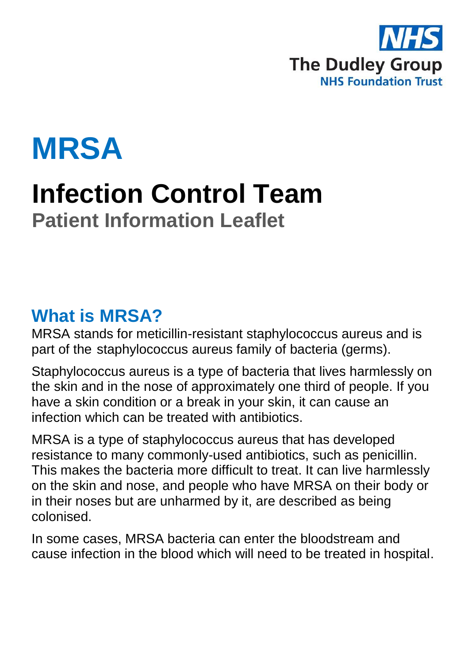



# **Infection Control Team Patient Information Leaflet**

#### **What is MRSA?**

MRSA stands for meticillin-resistant staphylococcus aureus and is part of the staphylococcus aureus family of bacteria (germs).

Staphylococcus aureus is a type of bacteria that lives harmlessly on the skin and in the nose of approximately one third of people. If you have a skin condition or a break in your skin, it can cause an infection which can be treated with antibiotics.

MRSA is a type of staphylococcus aureus that has developed resistance to many commonly-used antibiotics, such as penicillin. This makes the bacteria more difficult to treat. It can live harmlessly on the skin and nose, and people who have MRSA on their body or in their noses but are unharmed by it, are described as being colonised.

In some cases, MRSA bacteria can enter the bloodstream and cause infection in the blood which will need to be treated in hospital.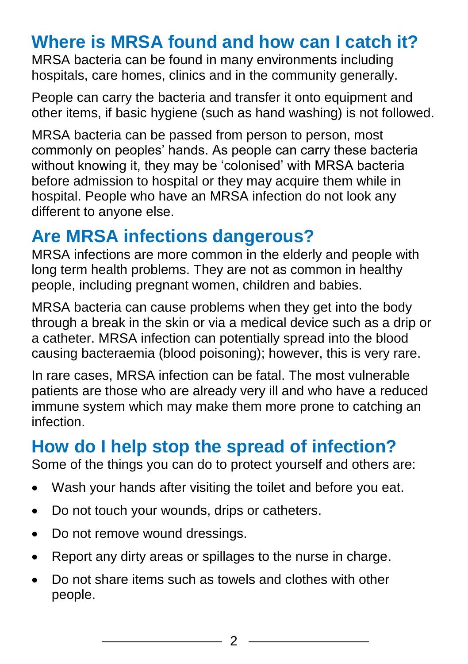### **Where is MRSA found and how can I catch it?**

MRSA bacteria can be found in many environments including hospitals, care homes, clinics and in the community generally.

People can carry the bacteria and transfer it onto equipment and other items, if basic hygiene (such as hand washing) is not followed.

MRSA bacteria can be passed from person to person, most commonly on peoples' hands. As people can carry these bacteria without knowing it, they may be 'colonised' with MRSA bacteria before admission to hospital or they may acquire them while in hospital. People who have an MRSA infection do not look any different to anyone else.

## **Are MRSA infections dangerous?**

MRSA infections are more common in the elderly and people with long term health problems. They are not as common in healthy people, including pregnant women, children and babies.

MRSA bacteria can cause problems when they get into the body through a break in the skin or via a medical device such as a drip or a catheter. MRSA infection can potentially spread into the blood causing bacteraemia (blood poisoning); however, this is very rare.

In rare cases, MRSA infection can be fatal. The most vulnerable patients are those who are already very ill and who have a reduced immune system which may make them more prone to catching an infection.

### **How do I help stop the spread of infection?**

Some of the things you can do to protect yourself and others are:

- Wash your hands after visiting the toilet and before you eat.
- Do not touch your wounds, drips or catheters.
- Do not remove wound dressings.
- Report any dirty areas or spillages to the nurse in charge.
- Do not share items such as towels and clothes with other people.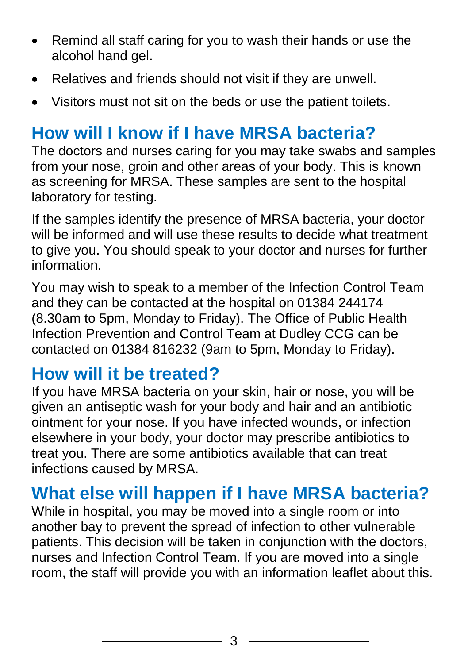- Remind all staff caring for you to wash their hands or use the alcohol hand gel.
- Relatives and friends should not visit if they are unwell.
- Visitors must not sit on the beds or use the patient toilets.

## **How will I know if I have MRSA bacteria?**

The doctors and nurses caring for you may take swabs and samples from your nose, groin and other areas of your body. This is known as screening for MRSA. These samples are sent to the hospital laboratory for testing.

If the samples identify the presence of MRSA bacteria, your doctor will be informed and will use these results to decide what treatment to give you. You should speak to your doctor and nurses for further information.

You may wish to speak to a member of the Infection Control Team and they can be contacted at the hospital on 01384 244174 (8.30am to 5pm, Monday to Friday). The Office of Public Health Infection Prevention and Control Team at Dudley CCG can be contacted on 01384 816232 (9am to 5pm, Monday to Friday).

#### **How will it be treated?**

If you have MRSA bacteria on your skin, hair or nose, you will be given an antiseptic wash for your body and hair and an antibiotic ointment for your nose. If you have infected wounds, or infection elsewhere in your body, your doctor may prescribe antibiotics to treat you. There are some antibiotics available that can treat infections caused by MRSA.

### **What else will happen if I have MRSA bacteria?**

While in hospital, you may be moved into a single room or into another bay to prevent the spread of infection to other vulnerable patients. This decision will be taken in conjunction with the doctors, nurses and Infection Control Team. If you are moved into a single room, the staff will provide you with an information leaflet about this.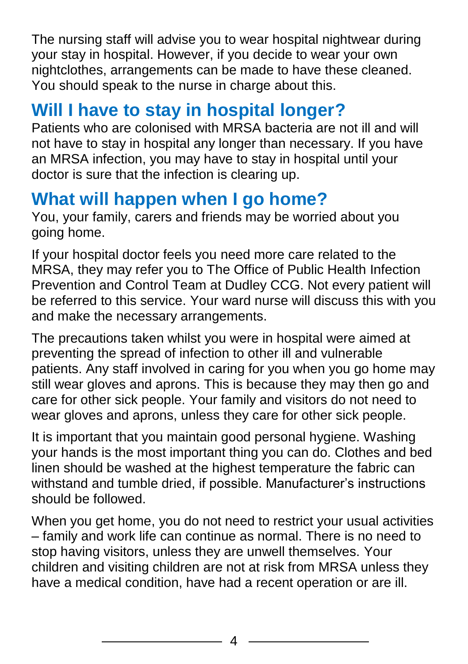The nursing staff will advise you to wear hospital nightwear during your stay in hospital. However, if you decide to wear your own nightclothes, arrangements can be made to have these cleaned. You should speak to the nurse in charge about this.

## **Will I have to stay in hospital longer?**

Patients who are colonised with MRSA bacteria are not ill and will not have to stay in hospital any longer than necessary. If you have an MRSA infection, you may have to stay in hospital until your doctor is sure that the infection is clearing up.

### **What will happen when I go home?**

You, your family, carers and friends may be worried about you going home.

If your hospital doctor feels you need more care related to the MRSA, they may refer you to The Office of Public Health Infection Prevention and Control Team at Dudley CCG. Not every patient will be referred to this service. Your ward nurse will discuss this with you and make the necessary arrangements.

The precautions taken whilst you were in hospital were aimed at preventing the spread of infection to other ill and vulnerable patients. Any staff involved in caring for you when you go home may still wear gloves and aprons. This is because they may then go and care for other sick people. Your family and visitors do not need to wear gloves and aprons, unless they care for other sick people.

It is important that you maintain good personal hygiene. Washing your hands is the most important thing you can do. Clothes and bed linen should be washed at the highest temperature the fabric can withstand and tumble dried, if possible. Manufacturer's instructions should be followed.

When you get home, you do not need to restrict your usual activities – family and work life can continue as normal. There is no need to stop having visitors, unless they are unwell themselves. Your children and visiting children are not at risk from MRSA unless they have a medical condition, have had a recent operation or are ill.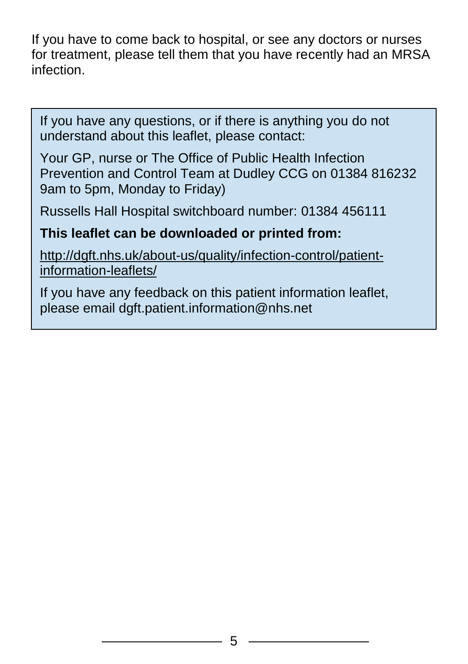If you have to come back to hospital, or see any doctors or nurses for treatment, please tell them that you have recently had an MRSA infection.

If you have any questions, or if there is anything you do not understand about this leaflet, please contact:

Your GP, nurse or The Office of Public Health Infection Prevention and Control Team at Dudley CCG on 01384 816232 9am to 5pm, Monday to Friday)

Russells Hall Hospital switchboard number: 01384 456111

#### **This leaflet can be downloaded or printed from:**

[http://dgft.nhs.uk/about-us/quality/infection-control/patient](http://dgft.nhs.uk/about-us/quality/infection-control/patient-information-leaflets/)[information-leaflets/](http://dgft.nhs.uk/about-us/quality/infection-control/patient-information-leaflets/)

If you have any feedback on this patient information leaflet, please email dgft.patient.information@nhs.net